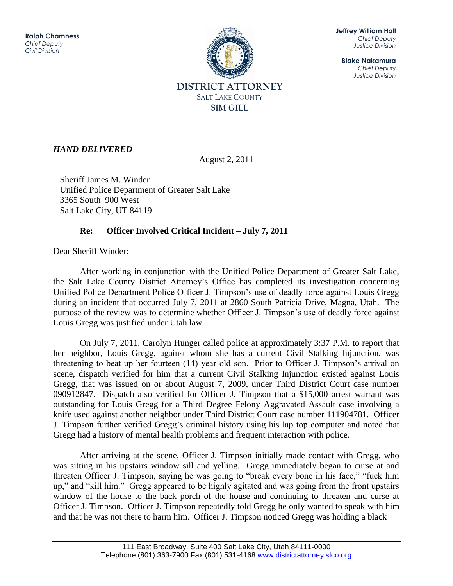

**Jeffrey William Hall** *Chief Deputy Justice Division*

**Blake Nakamura** *Chief Deputy Justice Division*

## *HAND DELIVERED*

August 2, 2011

Sheriff James M. Winder Unified Police Department of Greater Salt Lake 3365 South 900 West Salt Lake City, UT 84119

## **Re: Officer Involved Critical Incident – July 7, 2011**

Dear Sheriff Winder:

After working in conjunction with the Unified Police Department of Greater Salt Lake, the Salt Lake County District Attorney's Office has completed its investigation concerning Unified Police Department Police Officer J. Timpson's use of deadly force against Louis Gregg during an incident that occurred July 7, 2011 at 2860 South Patricia Drive, Magna, Utah. The purpose of the review was to determine whether Officer J. Timpson's use of deadly force against Louis Gregg was justified under Utah law.

 On July 7, 2011, Carolyn Hunger called police at approximately 3:37 P.M. to report that her neighbor, Louis Gregg, against whom she has a current Civil Stalking Injunction, was threatening to beat up her fourteen (14) year old son. Prior to Officer J. Timpson's arrival on scene, dispatch verified for him that a current Civil Stalking Injunction existed against Louis Gregg, that was issued on or about August 7, 2009, under Third District Court case number 090912847. Dispatch also verified for Officer J. Timpson that a \$15,000 arrest warrant was outstanding for Louis Gregg for a Third Degree Felony Aggravated Assault case involving a knife used against another neighbor under Third District Court case number 111904781. Officer J. Timpson further verified Gregg's criminal history using his lap top computer and noted that Gregg had a history of mental health problems and frequent interaction with police.

After arriving at the scene, Officer J. Timpson initially made contact with Gregg, who was sitting in his upstairs window sill and yelling. Gregg immediately began to curse at and threaten Officer J. Timpson, saying he was going to "break every bone in his face," "fuck him up," and "kill him." Gregg appeared to be highly agitated and was going from the front upstairs window of the house to the back porch of the house and continuing to threaten and curse at Officer J. Timpson. Officer J. Timpson repeatedly told Gregg he only wanted to speak with him and that he was not there to harm him. Officer J. Timpson noticed Gregg was holding a black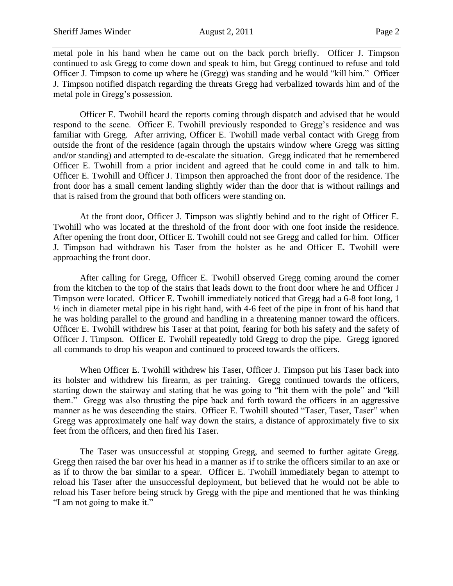metal pole in his hand when he came out on the back porch briefly. Officer J. Timpson continued to ask Gregg to come down and speak to him, but Gregg continued to refuse and told Officer J. Timpson to come up where he (Gregg) was standing and he would "kill him." Officer J. Timpson notified dispatch regarding the threats Gregg had verbalized towards him and of the metal pole in Gregg's possession.

Officer E. Twohill heard the reports coming through dispatch and advised that he would respond to the scene. Officer E. Twohill previously responded to Gregg's residence and was familiar with Gregg. After arriving, Officer E. Twohill made verbal contact with Gregg from outside the front of the residence (again through the upstairs window where Gregg was sitting and/or standing) and attempted to de-escalate the situation. Gregg indicated that he remembered Officer E. Twohill from a prior incident and agreed that he could come in and talk to him. Officer E. Twohill and Officer J. Timpson then approached the front door of the residence. The front door has a small cement landing slightly wider than the door that is without railings and that is raised from the ground that both officers were standing on.

At the front door, Officer J. Timpson was slightly behind and to the right of Officer E. Twohill who was located at the threshold of the front door with one foot inside the residence. After opening the front door, Officer E. Twohill could not see Gregg and called for him. Officer J. Timpson had withdrawn his Taser from the holster as he and Officer E. Twohill were approaching the front door.

After calling for Gregg, Officer E. Twohill observed Gregg coming around the corner from the kitchen to the top of the stairs that leads down to the front door where he and Officer J Timpson were located. Officer E. Twohill immediately noticed that Gregg had a 6-8 foot long, 1 ½ inch in diameter metal pipe in his right hand, with 4-6 feet of the pipe in front of his hand that he was holding parallel to the ground and handling in a threatening manner toward the officers. Officer E. Twohill withdrew his Taser at that point, fearing for both his safety and the safety of Officer J. Timpson. Officer E. Twohill repeatedly told Gregg to drop the pipe. Gregg ignored all commands to drop his weapon and continued to proceed towards the officers.

When Officer E. Twohill withdrew his Taser, Officer J. Timpson put his Taser back into its holster and withdrew his firearm, as per training. Gregg continued towards the officers, starting down the stairway and stating that he was going to "hit them with the pole" and "kill them." Gregg was also thrusting the pipe back and forth toward the officers in an aggressive manner as he was descending the stairs. Officer E. Twohill shouted "Taser, Taser, Taser" when Gregg was approximately one half way down the stairs, a distance of approximately five to six feet from the officers, and then fired his Taser.

The Taser was unsuccessful at stopping Gregg, and seemed to further agitate Gregg. Gregg then raised the bar over his head in a manner as if to strike the officers similar to an axe or as if to throw the bar similar to a spear. Officer E. Twohill immediately began to attempt to reload his Taser after the unsuccessful deployment, but believed that he would not be able to reload his Taser before being struck by Gregg with the pipe and mentioned that he was thinking "I am not going to make it."